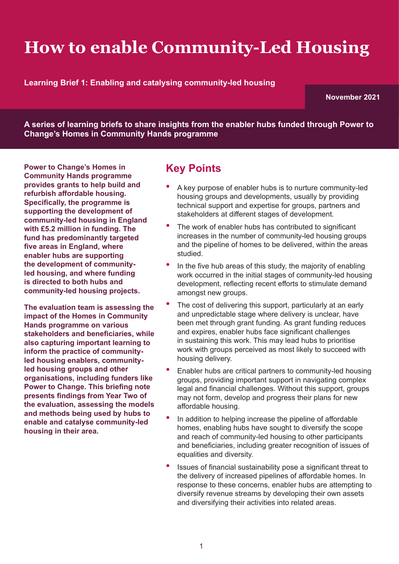# **How to enable Community-Led Housing**

**Learning Brief 1: Enabling and catalysing community-led housing** 

**November 2021**

**A series of learning briefs to share insights from the enabler hubs funded through Power to Change's Homes in Community Hands programme**

**Power to Change's Homes in Community Hands programme provides grants to help build and refurbish affordable housing. Specifically, the programme is supporting the development of community-led housing in England with £5.2 million in funding. The fund has predominantly targeted five areas in England, where enabler hubs are supporting the development of communityled housing, and where funding is directed to both hubs and community-led housing projects.** 

**The evaluation team is assessing the impact of the Homes in Community Hands programme on various stakeholders and beneficiaries, while also capturing important learning to inform the practice of communityled housing enablers, communityled housing groups and other organisations, including funders like Power to Change. This briefing note presents findings from Year Two of the evaluation, assessing the models and methods being used by hubs to enable and catalyse community-led housing in their area.**

### **Key Points**

- A key purpose of enabler hubs is to nurture community-led housing groups and developments, usually by providing technical support and expertise for groups, partners and stakeholders at different stages of development.
- The work of enabler hubs has contributed to significant increases in the number of community-led housing groups and the pipeline of homes to be delivered, within the areas studied.
- In the five hub areas of this study, the majority of enabling work occurred in the initial stages of community-led housing development, reflecting recent efforts to stimulate demand amongst new groups.
- The cost of delivering this support, particularly at an early and unpredictable stage where delivery is unclear, have been met through grant funding. As grant funding reduces and expires, enabler hubs face significant challenges in sustaining this work. This may lead hubs to prioritise work with groups perceived as most likely to succeed with housing delivery.
- Enabler hubs are critical partners to community-led housing groups, providing important support in navigating complex legal and financial challenges. Without this support, groups may not form, develop and progress their plans for new affordable housing.
- In addition to helping increase the pipeline of affordable homes, enabling hubs have sought to diversify the scope and reach of community-led housing to other participants and beneficiaries, including greater recognition of issues of equalities and diversity.
- Issues of financial sustainability pose a significant threat to the delivery of increased pipelines of affordable homes. In response to these concerns, enabler hubs are attempting to diversify revenue streams by developing their own assets and diversifying their activities into related areas.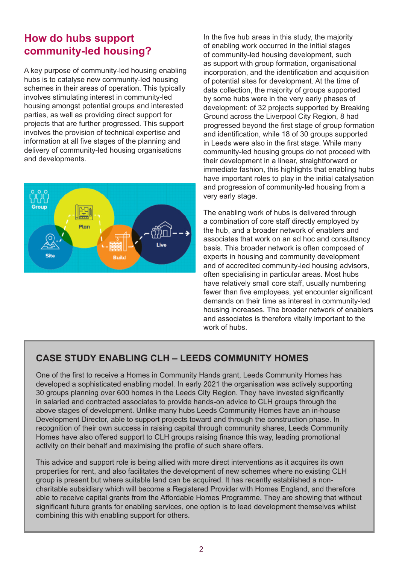#### **How do hubs support community-led housing?**

A key purpose of community-led housing enabling hubs is to catalyse new community-led housing schemes in their areas of operation. This typically involves stimulating interest in community-led housing amongst potential groups and interested parties, as well as providing direct support for projects that are further progressed. This support involves the provision of technical expertise and information at all five stages of the planning and delivery of community-led housing organisations and developments.



In the five hub areas in this study, the majority of enabling work occurred in the initial stages of community-led housing development, such as support with group formation, organisational incorporation, and the identification and acquisition of potential sites for development. At the time of data collection, the majority of groups supported by some hubs were in the very early phases of development: of 32 projects supported by Breaking Ground across the Liverpool City Region, 8 had progressed beyond the first stage of group formation and identification, while 18 of 30 groups supported in Leeds were also in the first stage. While many community-led housing groups do not proceed with their development in a linear, straightforward or immediate fashion, this highlights that enabling hubs have important roles to play in the initial catalysation and progression of community-led housing from a very early stage.

The enabling work of hubs is delivered through a combination of core staff directly employed by the hub, and a broader network of enablers and associates that work on an ad hoc and consultancy basis. This broader network is often composed of experts in housing and community development and of accredited community-led housing advisors, often specialising in particular areas. Most hubs have relatively small core staff, usually numbering fewer than five employees, yet encounter significant demands on their time as interest in community-led housing increases. The broader network of enablers and associates is therefore vitally important to the work of hubs.

#### **CASE STUDY ENABLING CLH – LEEDS COMMUNITY HOMES**

One of the first to receive a Homes in Community Hands grant, Leeds Community Homes has developed a sophisticated enabling model. In early 2021 the organisation was actively supporting 30 groups planning over 600 homes in the Leeds City Region. They have invested significantly in salaried and contracted associates to provide hands-on advice to CLH groups through the above stages of development. Unlike many hubs Leeds Community Homes have an in-house Development Director, able to support projects toward and through the construction phase. In recognition of their own success in raising capital through community shares, Leeds Community Homes have also offered support to CLH groups raising finance this way, leading promotional activity on their behalf and maximising the profile of such share offers.

This advice and support role is being allied with more direct interventions as it acquires its own properties for rent, and also facilitates the development of new schemes where no existing CLH group is present but where suitable land can be acquired. It has recently established a noncharitable subsidiary which will become a Registered Provider with Homes England, and therefore able to receive capital grants from the Affordable Homes Programme. They are showing that without significant future grants for enabling services, one option is to lead development themselves whilst combining this with enabling support for others.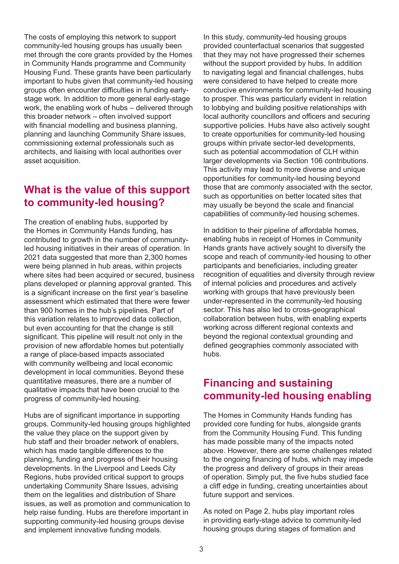The costs of employing this network to support community-led housing groups has usually been met through the core grants provided by the Homes in Community Hands programme and Community Housing Fund. These grants have been particularly important to hubs given that community-led housing groups often encounter difficulties in funding earlystage work. In addition to more general early-stage work, the enabling work of hubs – delivered through this broader network – often involved support with financial modelling and business planning, planning and launching Community Share issues, commissioning external professionals such as architects, and liaising with local authorities over asset acquisition.

#### **What is the value of this support to community-led housing?**

The creation of enabling hubs, supported by the Homes in Community Hands funding, has contributed to growth in the number of communityled housing initiatives in their areas of operation. In 2021 data suggested that more than 2,300 homes were being planned in hub areas, within projects where sites had been acquired or secured, business plans developed or planning approval granted. This is a significant increase on the first year's baseline assessment which estimated that there were fewer than 900 homes in the hub's pipelines. Part of this variation relates to improved data collection, but even accounting for that the change is still significant. This pipeline will result not only in the provision of new affordable homes but potentially a range of place-based impacts associated with community wellbeing and local economic development in local communities. Beyond these quantitative measures, there are a number of qualitative impacts that have been crucial to the progress of community-led housing.

Hubs are of significant importance in supporting groups. Community-led housing groups highlighted the value they place on the support given by hub staff and their broader network of enablers, which has made tangible differences to the planning, funding and progress of their housing developments. In the Liverpool and Leeds City Regions, hubs provided critical support to groups undertaking Community Share Issues, advising them on the legalities and distribution of Share issues, as well as promotion and communication to help raise funding. Hubs are therefore important in supporting community-led housing groups devise and implement innovative funding models.

In this study, community-led housing groups provided counterfactual scenarios that suggested that they may not have progressed their schemes without the support provided by hubs. In addition to navigating legal and financial challenges, hubs were considered to have helped to create more conducive environments for community-led housing to prosper. This was particularly evident in relation to lobbying and building positive relationships with local authority councillors and officers and securing supportive policies. Hubs have also actively sought to create opportunities for community-led housing groups within private sector-led developments, such as potential accommodation of CLH within larger developments via Section 106 contributions. This activity may lead to more diverse and unique opportunities for community-led housing beyond those that are commonly associated with the sector, such as opportunities on better located sites that may usually be beyond the scale and financial capabilities of community-led housing schemes.

In addition to their pipeline of affordable homes, enabling hubs in receipt of Homes in Community Hands grants have actively sought to diversify the scope and reach of community-led housing to other participants and beneficiaries, including greater recognition of equalities and diversity through review of internal policies and procedures and actively working with groups that have previously been under-represented in the community-led housing sector. This has also led to cross-geographical collaboration between hubs, with enabling experts working across different regional contexts and beyond the regional contextual grounding and defined geographies commonly associated with hubs.

#### **Financing and sustaining community-led housing enabling**

The Homes in Community Hands funding has provided core funding for hubs, alongside grants from the Community Housing Fund. This funding has made possible many of the impacts noted above. However, there are some challenges related to the ongoing financing of hubs, which may impede the progress and delivery of groups in their areas of operation. Simply put, the five hubs studied face a cliff edge in funding, creating uncertainties about future support and services.

As noted on Page 2, hubs play important roles in providing early-stage advice to community-led housing groups during stages of formation and